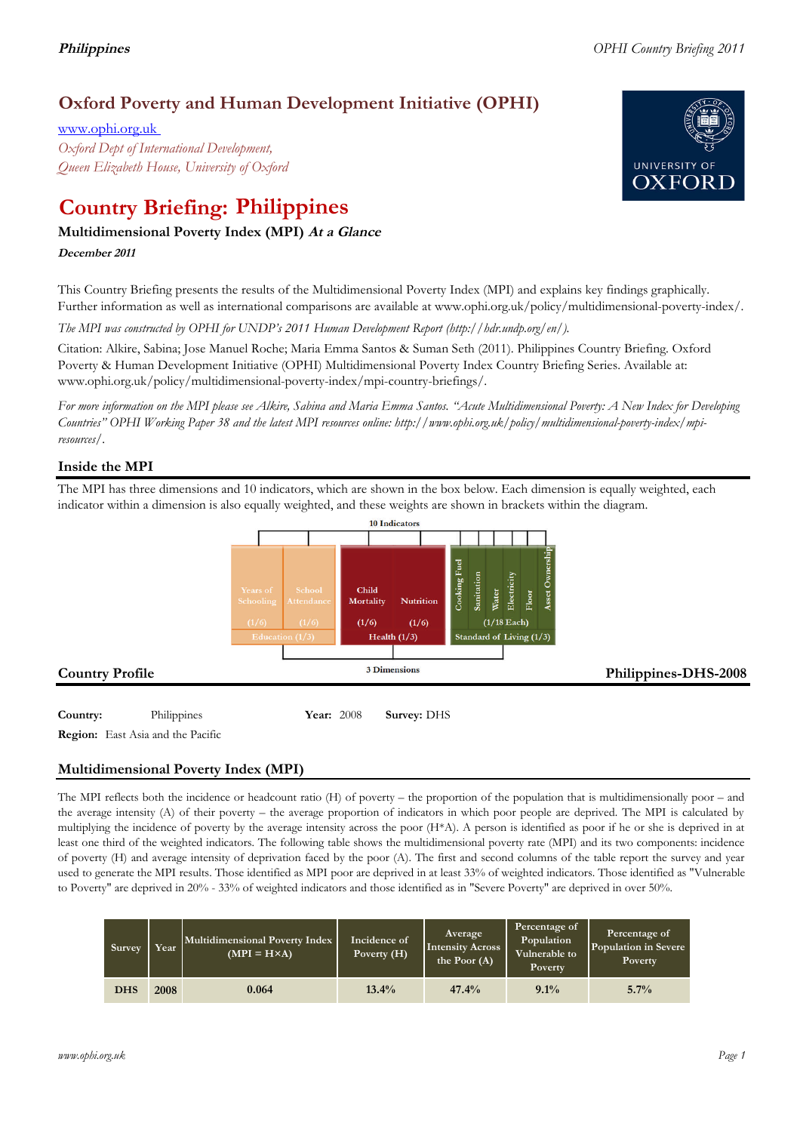## **Oxford Poverty and Human Development Initiative (OPHI)**

www.ophi.org.uk *Oxford Dept of International Development, Queen Elizabeth House, University of Oxford*

# **Country Briefing: Philippines**

### **Multidimensional Poverty Index (MPI) At <sup>a</sup> Glance**

**December <sup>2011</sup>**

This Country Briefing presents the results of the Multidimensional Poverty Index (MPI) and explains key findings graphically. Further information as well as international comparisons are available at www.ophi.org.uk/policy/multidimensional-poverty-index/.

*The MPI was constructed by OPHI for UNDP's 2011 Human Development Report (http://hdr.undp.org/en/).*

Citation: Alkire, Sabina; Jose Manuel Roche; Maria Emma Santos & Suman Seth (2011). Philippines Country Briefing. Oxford Poverty & Human Development Initiative (OPHI) Multidimensional Poverty Index Country Briefing Series. Available at: www.ophi.org.uk/policy/multidimensional-poverty-index/mpi-country-briefings/.

*For more information on the MPI please see Alkire, Sabina and Maria Emma Santos. "Acute Multidimensional Poverty: A New Index for Developing Countries" OPHI Working Paper 38 and the latest MPI resources online: http://www.ophi.org.uk/policy/multidimensional-poverty-index/mpiresources/.*

### **Inside the MPI**

The MPI has three dimensions and 10 indicators, which are shown in the box below. Each dimension is equally weighted, each indicator within a dimension is also equally weighted, and these weights are shown in brackets within the diagram.



**Region:** East Asia and the Pacific

### **Multidimensional Poverty Index (MPI)**

The MPI reflects both the incidence or headcount ratio (H) of poverty – the proportion of the population that is multidimensionally poor – and the average intensity (A) of their poverty – the average proportion of indicators in which poor people are deprived. The MPI is calculated by multiplying the incidence of poverty by the average intensity across the poor (H\*A). A person is identified as poor if he or she is deprived in at least one third of the weighted indicators. The following table shows the multidimensional poverty rate (MPI) and its two components: incidence of poverty (H) and average intensity of deprivation faced by the poor (A). The first and second columns of the table report the survey and year used to generate the MPI results. Those identified as MPI poor are deprived in at least 33% of weighted indicators. Those identified as "Vulnerable to Poverty" are deprived in 20% - 33% of weighted indicators and those identified as in "Severe Poverty" are deprived in over 50%.

| Survey     | Year | Multidimensional Poverty Index<br>$(MPI = H \times A)$ | Incidence of<br>Poverty $(H)$ | Average<br>Intensity Across<br>the Poor $(A)$ | Percentage of<br>Population<br>Vulnerable to<br><b>Poverty</b> | Percentage of<br>Population in Severe<br>Poverty |
|------------|------|--------------------------------------------------------|-------------------------------|-----------------------------------------------|----------------------------------------------------------------|--------------------------------------------------|
| <b>DHS</b> | 2008 | 0.064                                                  | $13.4\%$                      | 47.4%                                         | $9.1\%$                                                        | 5.7%                                             |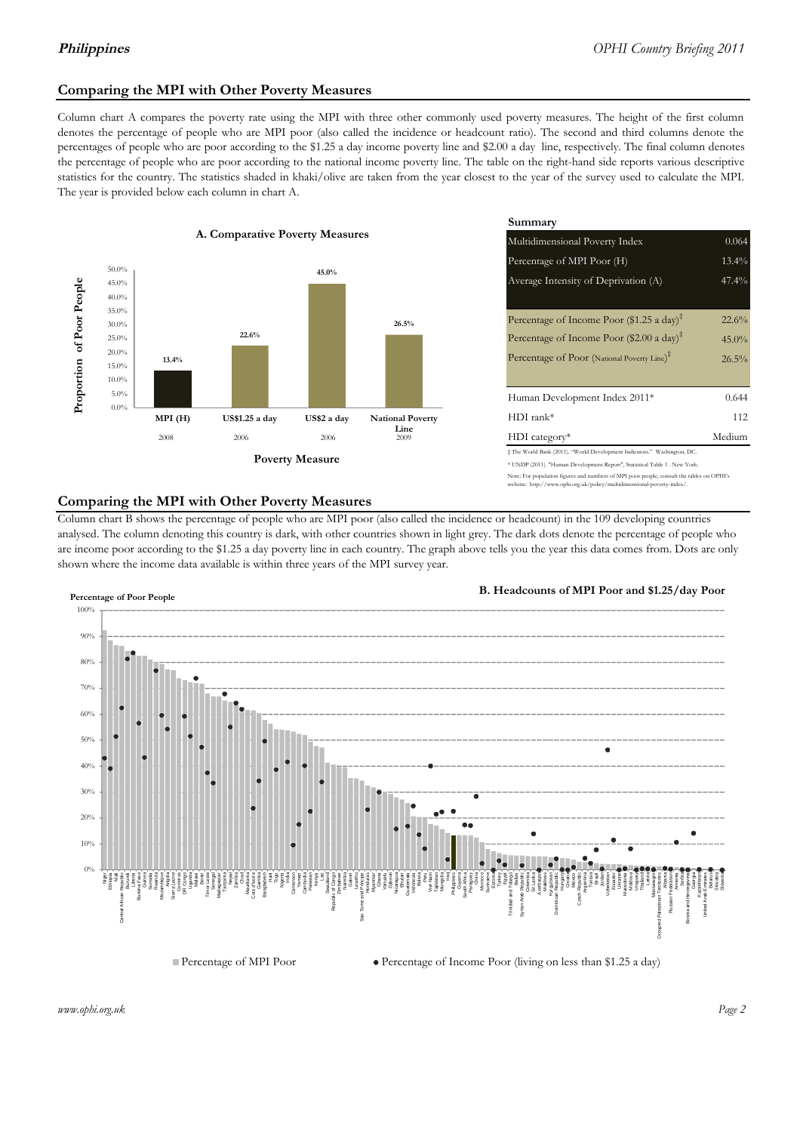#### **Comparing the MPI with Other Poverty Measures**

Column chart A compares the poverty rate using the MPI with three other commonly used poverty measures. The height of the first column denotes the percentage of people who are MPI poor (also called the incidence or headcount ratio). The second and third columns denote the percentages of people who are poor according to the \$1.25 a day income poverty line and \$2.00 a day line, respectively. The final column denotes the percentage of people who are poor according to the national income poverty line. The table on the right-hand side reports various descriptive statistics for the country. The statistics shaded in khaki/olive are taken from the year closest to the year of the survey used to calculate the MPI. The year is provided below each column in chart A.



|                                        |              | Summary                                                                                                                                                    |          |  |  |
|----------------------------------------|--------------|------------------------------------------------------------------------------------------------------------------------------------------------------------|----------|--|--|
| erty Measures                          |              | 0.064<br>Multidimensional Poverty Index                                                                                                                    |          |  |  |
|                                        |              | Percentage of MPI Poor (H)                                                                                                                                 | 13.4%    |  |  |
| 45.0%                                  |              | Average Intensity of Deprivation (A)                                                                                                                       | 47.4%    |  |  |
|                                        | 26.5%        | Percentage of Income Poor (\$1.25 a day) <sup><math>\ddagger</math></sup>                                                                                  | 22.6%    |  |  |
|                                        |              | Percentage of Income Poor (\$2.00 a day) <sup><math>\bar{x}</math></sup>                                                                                   | $45.0\%$ |  |  |
|                                        |              | Percentage of Poor (National Poverty Line) <sup>#</sup>                                                                                                    | 26.5%    |  |  |
|                                        |              | Human Development Index 2011*                                                                                                                              | 0.644    |  |  |
| US\$2 a day<br><b>National Poverty</b> |              | $HDI$ rank*                                                                                                                                                | 112      |  |  |
| 2006                                   | Line<br>2009 | $HDI category*$                                                                                                                                            | Medium   |  |  |
| <b>⁄Ieasure</b>                        |              | $\pm$ The World Bank (2011). "World Development Indicators." Washington, DC.<br>* UNDP (2011). "Human Development Report", Statistical Table 1 . New York. |          |  |  |

te: For population figures and numbers of MPI poor people, consult the tables on OPHI's te: http://www.ophi.org.uk/policy/multidimensional-poverty-index/

#### **Comparing the MPI with Other Poverty Measures**

Column chart B shows the percentage of people who are MPI poor (also called the incidence or headcount) in the 109 developing countries analysed. The column denoting this country is dark, with other countries shown in light grey. The dark dots denote the percentage of people who are income poor according to the \$1.25 a day poverty line in each country. The graph above tells you the year this data comes from. Dots are only shown where the income data available is within three years of the MPI survey year.



**B. Headcounts of MPI Poor and \$1.25/day Poor**



 $\bullet$  Percentage of Income Poor (living on less than \$1.25 a day)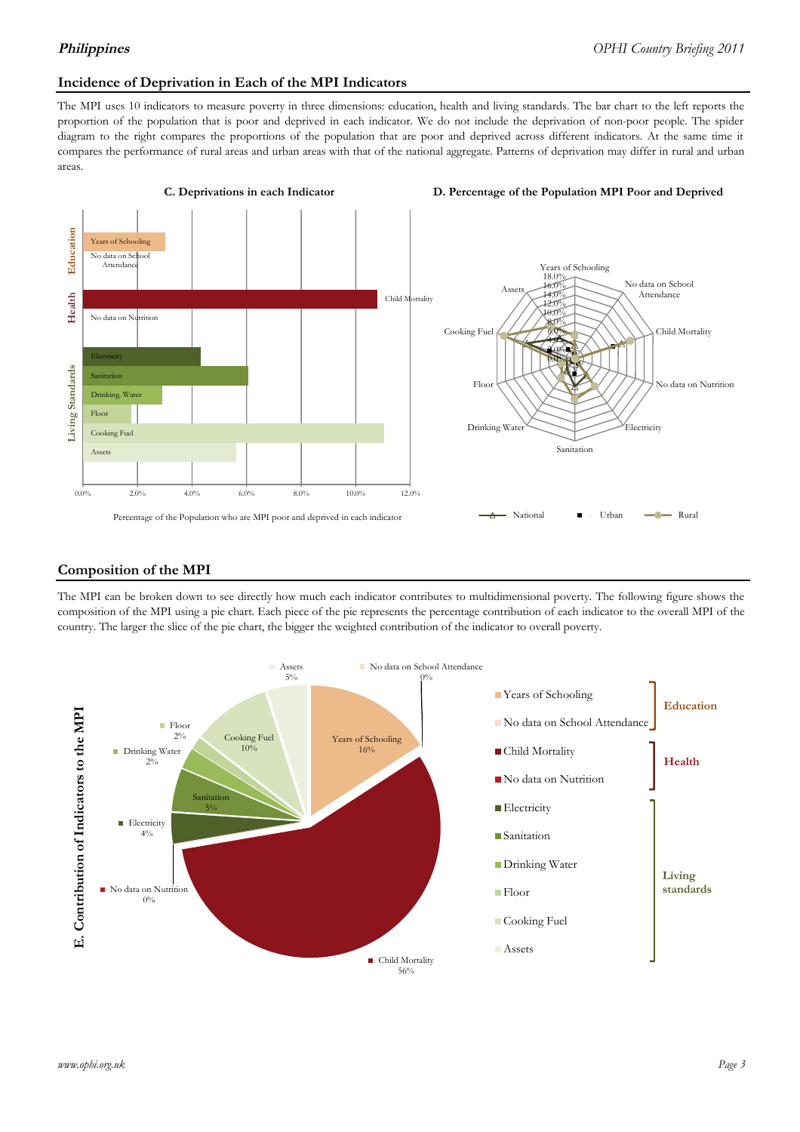#### **Incidence of Deprivation in Each of the MPI Indicators**

The MPI uses 10 indicators to measure poverty in three dimensions: education, health and living standards. The bar chart to the left reports the proportion of the population that is poor and deprived in each indicator. We do not include the deprivation of non-poor people. The spider diagram to the right compares the proportions of the population that are poor and deprived across different indicators. At the same time it compares the performance of rural areas and urban areas with that of the national aggregate. Patterns of deprivation may differ in rural and urban areas.



#### **Composition of the MPI**

The MPI can be broken down to see directly how much each indicator contributes to multidimensional poverty. The following figure shows the composition of the MPI using a pie chart. Each piece of the pie represents the percentage contribution of each indicator to the overall MPI of the country. The larger the slice of the pie chart, the bigger the weighted contribution of the indicator to overall poverty.

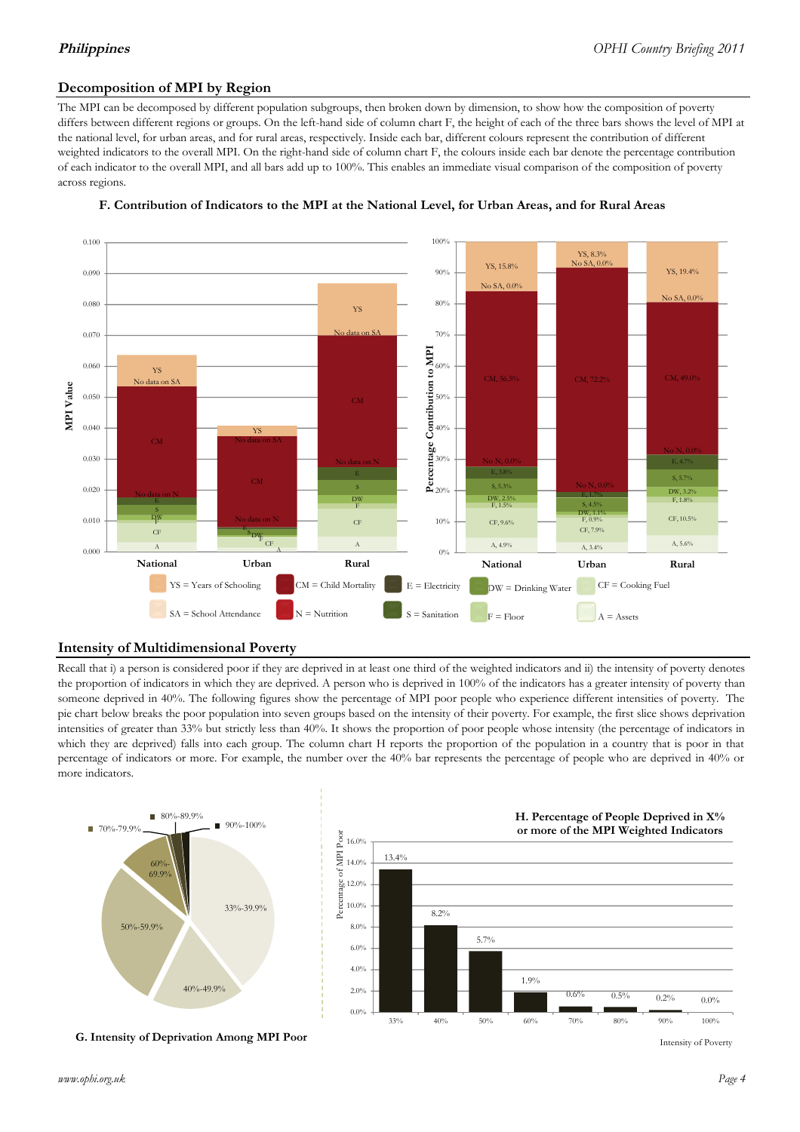#### **Decomposition of MPI by Region**

The MPI can be decomposed by different population subgroups, then broken down by dimension, to show how the composition of poverty differs between different regions or groups. On the left-hand side of column chart F, the height of each of the three bars shows the level of MPI at the national level, for urban areas, and for rural areas, respectively. Inside each bar, different colours represent the contribution of different weighted indicators to the overall MPI. On the right-hand side of column chart F, the colours inside each bar denote the percentage contribution of each indicator to the overall MPI, and all bars add up to 100%. This enables an immediate visual comparison of the composition of poverty across regions.





#### **Intensity of Multidimensional Poverty**

Recall that i) a person is considered poor if they are deprived in at least one third of the weighted indicators and ii) the intensity of poverty denotes the proportion of indicators in which they are deprived. A person who is deprived in 100% of the indicators has a greater intensity of poverty than someone deprived in 40%. The following figures show the percentage of MPI poor people who experience different intensities of poverty. The pie chart below breaks the poor population into seven groups based on the intensity of their poverty. For example, the first slice shows deprivation intensities of greater than 33% but strictly less than 40%. It shows the proportion of poor people whose intensity (the percentage of indicators in which they are deprived) falls into each group. The column chart H reports the proportion of the population in a country that is poor in that percentage of indicators or more. For example, the number over the 40% bar represents the percentage of people who are deprived in 40% or more indicators.



**G. Intensity of Deprivation Among MPI Poor**

Intensity of Poverty